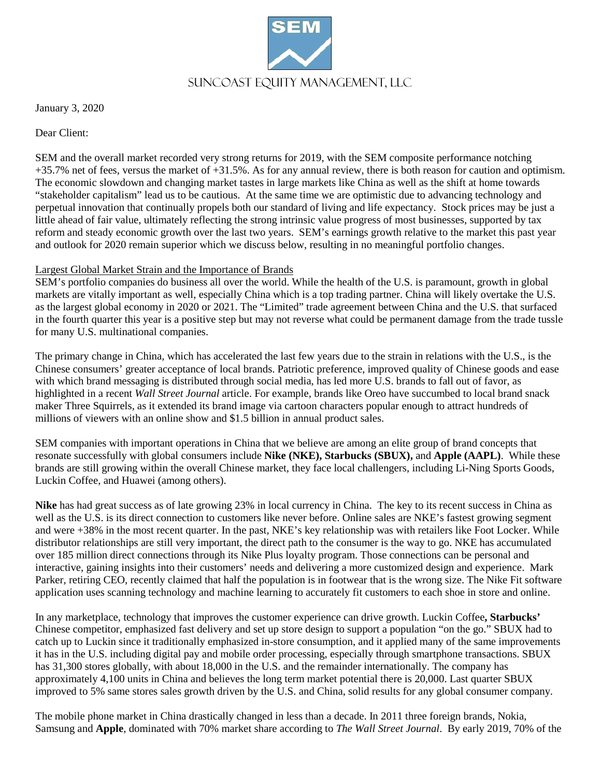

January 3, 2020

Dear Client:

SEM and the overall market recorded very strong returns for 2019, with the SEM composite performance notching +35.7% net of fees, versus the market of +31.5%. As for any annual review, there is both reason for caution and optimism. The economic slowdown and changing market tastes in large markets like China as well as the shift at home towards "stakeholder capitalism" lead us to be cautious. At the same time we are optimistic due to advancing technology and perpetual innovation that continually propels both our standard of living and life expectancy. Stock prices may be just a little ahead of fair value, ultimately reflecting the strong intrinsic value progress of most businesses, supported by tax reform and steady economic growth over the last two years. SEM's earnings growth relative to the market this past year and outlook for 2020 remain superior which we discuss below, resulting in no meaningful portfolio changes.

# Largest Global Market Strain and the Importance of Brands

SEM's portfolio companies do business all over the world. While the health of the U.S. is paramount, growth in global markets are vitally important as well, especially China which is a top trading partner. China will likely overtake the U.S. as the largest global economy in 2020 or 2021. The "Limited" trade agreement between China and the U.S. that surfaced in the fourth quarter this year is a positive step but may not reverse what could be permanent damage from the trade tussle for many U.S. multinational companies.

The primary change in China, which has accelerated the last few years due to the strain in relations with the U.S., is the Chinese consumers' greater acceptance of local brands. Patriotic preference, improved quality of Chinese goods and ease with which brand messaging is distributed through social media, has led more U.S. brands to fall out of favor, as highlighted in a recent *Wall Street Journal* article. For example, brands like Oreo have succumbed to local brand snack maker Three Squirrels, as it extended its brand image via cartoon characters popular enough to attract hundreds of millions of viewers with an online show and \$1.5 billion in annual product sales.

SEM companies with important operations in China that we believe are among an elite group of brand concepts that resonate successfully with global consumers include **Nike (NKE), Starbucks (SBUX),** and **Apple (AAPL)**. While these brands are still growing within the overall Chinese market, they face local challengers, including Li-Ning Sports Goods, Luckin Coffee, and Huawei (among others).

**Nike** has had great success as of late growing 23% in local currency in China. The key to its recent success in China as well as the U.S. is its direct connection to customers like never before. Online sales are NKE's fastest growing segment and were +38% in the most recent quarter. In the past, NKE's key relationship was with retailers like Foot Locker. While distributor relationships are still very important, the direct path to the consumer is the way to go. NKE has accumulated over 185 million direct connections through its Nike Plus loyalty program. Those connections can be personal and interactive, gaining insights into their customers' needs and delivering a more customized design and experience. Mark Parker, retiring CEO, recently claimed that half the population is in footwear that is the wrong size. The Nike Fit software application uses scanning technology and machine learning to accurately fit customers to each shoe in store and online.

In any marketplace, technology that improves the customer experience can drive growth. Luckin Coffee**, Starbucks'** Chinese competitor, emphasized fast delivery and set up store design to support a population "on the go." SBUX had to catch up to Luckin since it traditionally emphasized in-store consumption, and it applied many of the same improvements it has in the U.S. including digital pay and mobile order processing, especially through smartphone transactions. SBUX has 31,300 stores globally, with about 18,000 in the U.S. and the remainder internationally. The company has approximately 4,100 units in China and believes the long term market potential there is 20,000. Last quarter SBUX improved to 5% same stores sales growth driven by the U.S. and China, solid results for any global consumer company.

The mobile phone market in China drastically changed in less than a decade. In 2011 three foreign brands, Nokia, Samsung and **Apple**, dominated with 70% market share according to *The Wall Street Journal*. By early 2019, 70% of the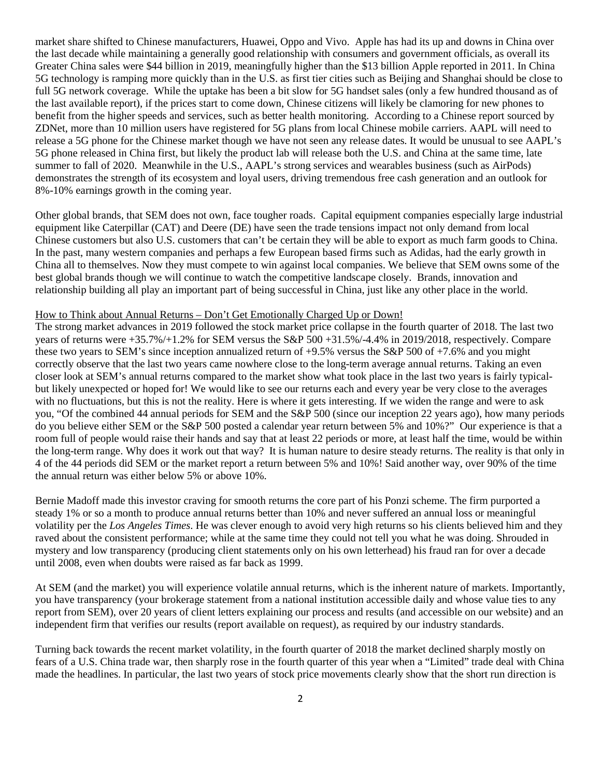market share shifted to Chinese manufacturers, Huawei, Oppo and Vivo. Apple has had its up and downs in China over the last decade while maintaining a generally good relationship with consumers and government officials, as overall its Greater China sales were \$44 billion in 2019, meaningfully higher than the \$13 billion Apple reported in 2011. In China 5G technology is ramping more quickly than in the U.S. as first tier cities such as Beijing and Shanghai should be close to full 5G network coverage. While the uptake has been a bit slow for 5G handset sales (only a few hundred thousand as of the last available report), if the prices start to come down, Chinese citizens will likely be clamoring for new phones to benefit from the higher speeds and services, such as better health monitoring. According to a Chinese report sourced by ZDNet, more than 10 million users have registered for 5G plans from local Chinese mobile carriers. AAPL will need to release a 5G phone for the Chinese market though we have not seen any release dates. It would be unusual to see AAPL's 5G phone released in China first, but likely the product lab will release both the U.S. and China at the same time, late summer to fall of 2020. Meanwhile in the U.S., AAPL's strong services and wearables business (such as AirPods) demonstrates the strength of its ecosystem and loyal users, driving tremendous free cash generation and an outlook for 8%-10% earnings growth in the coming year.

Other global brands, that SEM does not own, face tougher roads. Capital equipment companies especially large industrial equipment like Caterpillar (CAT) and Deere (DE) have seen the trade tensions impact not only demand from local Chinese customers but also U.S. customers that can't be certain they will be able to export as much farm goods to China. In the past, many western companies and perhaps a few European based firms such as Adidas, had the early growth in China all to themselves. Now they must compete to win against local companies. We believe that SEM owns some of the best global brands though we will continue to watch the competitive landscape closely. Brands, innovation and relationship building all play an important part of being successful in China, just like any other place in the world.

#### How to Think about Annual Returns – Don't Get Emotionally Charged Up or Down!

The strong market advances in 2019 followed the stock market price collapse in the fourth quarter of 2018. The last two years of returns were +35.7%/+1.2% for SEM versus the S&P 500 +31.5%/-4.4% in 2019/2018, respectively. Compare these two years to SEM's since inception annualized return of +9.5% versus the S&P 500 of +7.6% and you might correctly observe that the last two years came nowhere close to the long-term average annual returns. Taking an even closer look at SEM's annual returns compared to the market show what took place in the last two years is fairly typicalbut likely unexpected or hoped for! We would like to see our returns each and every year be very close to the averages with no fluctuations, but this is not the reality. Here is where it gets interesting. If we widen the range and were to ask you, "Of the combined 44 annual periods for SEM and the S&P 500 (since our inception 22 years ago), how many periods do you believe either SEM or the S&P 500 posted a calendar year return between 5% and 10%?" Our experience is that a room full of people would raise their hands and say that at least 22 periods or more, at least half the time, would be within the long-term range. Why does it work out that way? It is human nature to desire steady returns. The reality is that only in 4 of the 44 periods did SEM or the market report a return between 5% and 10%! Said another way, over 90% of the time the annual return was either below 5% or above 10%.

Bernie Madoff made this investor craving for smooth returns the core part of his Ponzi scheme. The firm purported a steady 1% or so a month to produce annual returns better than 10% and never suffered an annual loss or meaningful volatility per the *Los Angeles Times*. He was clever enough to avoid very high returns so his clients believed him and they raved about the consistent performance; while at the same time they could not tell you what he was doing. Shrouded in mystery and low transparency (producing client statements only on his own letterhead) his fraud ran for over a decade until 2008, even when doubts were raised as far back as 1999.

At SEM (and the market) you will experience volatile annual returns, which is the inherent nature of markets. Importantly, you have transparency (your brokerage statement from a national institution accessible daily and whose value ties to any report from SEM), over 20 years of client letters explaining our process and results (and accessible on our website) and an independent firm that verifies our results (report available on request), as required by our industry standards.

Turning back towards the recent market volatility, in the fourth quarter of 2018 the market declined sharply mostly on fears of a U.S. China trade war, then sharply rose in the fourth quarter of this year when a "Limited" trade deal with China made the headlines. In particular, the last two years of stock price movements clearly show that the short run direction is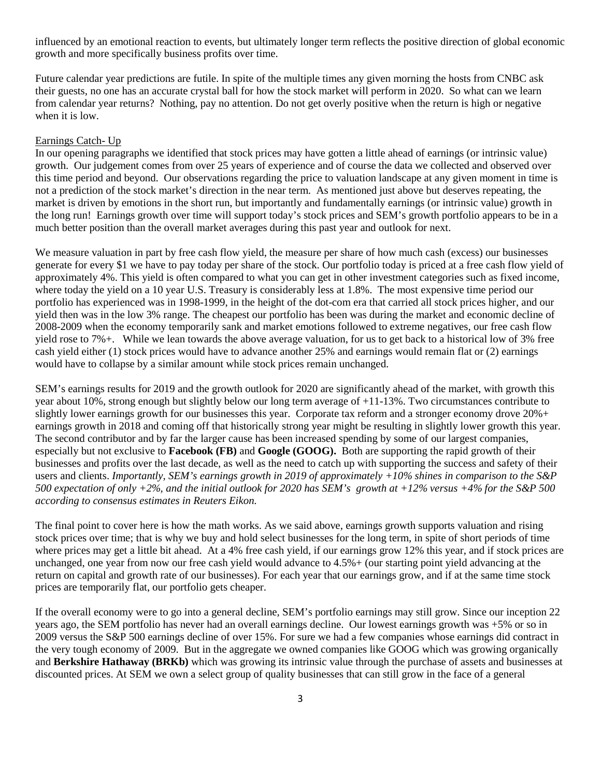influenced by an emotional reaction to events, but ultimately longer term reflects the positive direction of global economic growth and more specifically business profits over time.

Future calendar year predictions are futile. In spite of the multiple times any given morning the hosts from CNBC ask their guests, no one has an accurate crystal ball for how the stock market will perform in 2020. So what can we learn from calendar year returns? Nothing, pay no attention. Do not get overly positive when the return is high or negative when it is low.

## Earnings Catch- Up

In our opening paragraphs we identified that stock prices may have gotten a little ahead of earnings (or intrinsic value) growth. Our judgement comes from over 25 years of experience and of course the data we collected and observed over this time period and beyond. Our observations regarding the price to valuation landscape at any given moment in time is not a prediction of the stock market's direction in the near term. As mentioned just above but deserves repeating, the market is driven by emotions in the short run, but importantly and fundamentally earnings (or intrinsic value) growth in the long run! Earnings growth over time will support today's stock prices and SEM's growth portfolio appears to be in a much better position than the overall market averages during this past year and outlook for next.

We measure valuation in part by free cash flow yield, the measure per share of how much cash (excess) our businesses generate for every \$1 we have to pay today per share of the stock. Our portfolio today is priced at a free cash flow yield of approximately 4%. This yield is often compared to what you can get in other investment categories such as fixed income, where today the yield on a 10 year U.S. Treasury is considerably less at 1.8%. The most expensive time period our portfolio has experienced was in 1998-1999, in the height of the dot-com era that carried all stock prices higher, and our yield then was in the low 3% range. The cheapest our portfolio has been was during the market and economic decline of 2008-2009 when the economy temporarily sank and market emotions followed to extreme negatives, our free cash flow yield rose to 7%+. While we lean towards the above average valuation, for us to get back to a historical low of 3% free cash yield either (1) stock prices would have to advance another 25% and earnings would remain flat or (2) earnings would have to collapse by a similar amount while stock prices remain unchanged.

SEM's earnings results for 2019 and the growth outlook for 2020 are significantly ahead of the market, with growth this year about 10%, strong enough but slightly below our long term average of +11-13%. Two circumstances contribute to slightly lower earnings growth for our businesses this year. Corporate tax reform and a stronger economy drove 20%+ earnings growth in 2018 and coming off that historically strong year might be resulting in slightly lower growth this year. The second contributor and by far the larger cause has been increased spending by some of our largest companies, especially but not exclusive to **Facebook (FB)** and **Google (GOOG).** Both are supporting the rapid growth of their businesses and profits over the last decade, as well as the need to catch up with supporting the success and safety of their users and clients. *Importantly, SEM's earnings growth in 2019 of approximately +10% shines in comparison to the S&P 500 expectation of only +2%, and the initial outlook for 2020 has SEM's growth at +12% versus +4% for the S&P 500 according to consensus estimates in Reuters Eikon.* 

The final point to cover here is how the math works. As we said above, earnings growth supports valuation and rising stock prices over time; that is why we buy and hold select businesses for the long term, in spite of short periods of time where prices may get a little bit ahead. At a 4% free cash yield, if our earnings grow 12% this year, and if stock prices are unchanged, one year from now our free cash yield would advance to 4.5%+ (our starting point yield advancing at the return on capital and growth rate of our businesses). For each year that our earnings grow, and if at the same time stock prices are temporarily flat, our portfolio gets cheaper.

If the overall economy were to go into a general decline, SEM's portfolio earnings may still grow. Since our inception 22 years ago, the SEM portfolio has never had an overall earnings decline. Our lowest earnings growth was +5% or so in 2009 versus the S&P 500 earnings decline of over 15%. For sure we had a few companies whose earnings did contract in the very tough economy of 2009. But in the aggregate we owned companies like GOOG which was growing organically and **Berkshire Hathaway (BRKb)** which was growing its intrinsic value through the purchase of assets and businesses at discounted prices. At SEM we own a select group of quality businesses that can still grow in the face of a general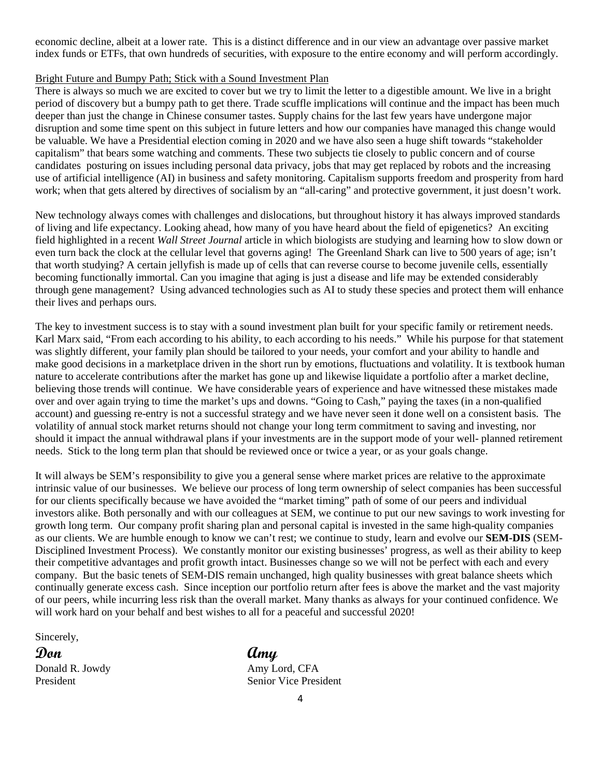economic decline, albeit at a lower rate. This is a distinct difference and in our view an advantage over passive market index funds or ETFs, that own hundreds of securities, with exposure to the entire economy and will perform accordingly.

### Bright Future and Bumpy Path; Stick with a Sound Investment Plan

There is always so much we are excited to cover but we try to limit the letter to a digestible amount. We live in a bright period of discovery but a bumpy path to get there. Trade scuffle implications will continue and the impact has been much deeper than just the change in Chinese consumer tastes. Supply chains for the last few years have undergone major disruption and some time spent on this subject in future letters and how our companies have managed this change would be valuable. We have a Presidential election coming in 2020 and we have also seen a huge shift towards "stakeholder capitalism" that bears some watching and comments. These two subjects tie closely to public concern and of course candidates posturing on issues including personal data privacy, jobs that may get replaced by robots and the increasing use of artificial intelligence (AI) in business and safety monitoring. Capitalism supports freedom and prosperity from hard work; when that gets altered by directives of socialism by an "all-caring" and protective government, it just doesn't work.

New technology always comes with challenges and dislocations, but throughout history it has always improved standards of living and life expectancy. Looking ahead, how many of you have heard about the field of epigenetics? An exciting field highlighted in a recent *Wall Street Journal* article in which biologists are studying and learning how to slow down or even turn back the clock at the cellular level that governs aging! The Greenland Shark can live to 500 years of age; isn't that worth studying? A certain jellyfish is made up of cells that can reverse course to become juvenile cells, essentially becoming functionally immortal. Can you imagine that aging is just a disease and life may be extended considerably through gene management? Using advanced technologies such as AI to study these species and protect them will enhance their lives and perhaps ours.

The key to investment success is to stay with a sound investment plan built for your specific family or retirement needs. Karl Marx said, "From each according to his ability, to each according to his needs." While his purpose for that statement was slightly different, your family plan should be tailored to your needs, your comfort and your ability to handle and make good decisions in a marketplace driven in the short run by emotions, fluctuations and volatility. It is textbook human nature to accelerate contributions after the market has gone up and likewise liquidate a portfolio after a market decline, believing those trends will continue. We have considerable years of experience and have witnessed these mistakes made over and over again trying to time the market's ups and downs. "Going to Cash," paying the taxes (in a non-qualified account) and guessing re-entry is not a successful strategy and we have never seen it done well on a consistent basis. The volatility of annual stock market returns should not change your long term commitment to saving and investing, nor should it impact the annual withdrawal plans if your investments are in the support mode of your well- planned retirement needs. Stick to the long term plan that should be reviewed once or twice a year, or as your goals change.

It will always be SEM's responsibility to give you a general sense where market prices are relative to the approximate intrinsic value of our businesses. We believe our process of long term ownership of select companies has been successful for our clients specifically because we have avoided the "market timing" path of some of our peers and individual investors alike. Both personally and with our colleagues at SEM, we continue to put our new savings to work investing for growth long term. Our company profit sharing plan and personal capital is invested in the same high-quality companies as our clients. We are humble enough to know we can't rest; we continue to study, learn and evolve our **SEM-DIS** (SEM-Disciplined Investment Process). We constantly monitor our existing businesses' progress, as well as their ability to keep their competitive advantages and profit growth intact. Businesses change so we will not be perfect with each and every company. But the basic tenets of SEM-DIS remain unchanged, high quality businesses with great balance sheets which continually generate excess cash. Since inception our portfolio return after fees is above the market and the vast majority of our peers, while incurring less risk than the overall market. Many thanks as always for your continued confidence. We will work hard on your behalf and best wishes to all for a peaceful and successful 2020!

Sincerely,

**Don Amy** Donald R. Jowdy Amy Lord, CFA

President Senior Vice President